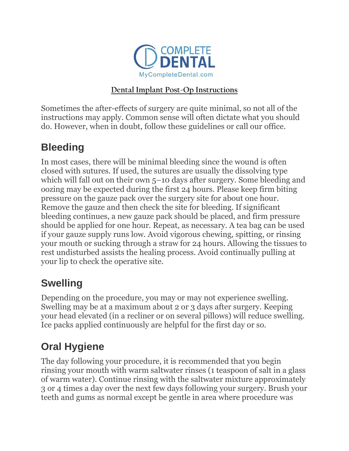

#### **Dental Implant Post-Op Instructions**

Sometimes the after-effects of surgery are quite minimal, so not all of the instructions may apply. Common sense will often dictate what you should do. However, when in doubt, follow these guidelines or call our office.

#### **Bleeding**

In most cases, there will be minimal bleeding since the wound is often closed with sutures. If used, the sutures are usually the dissolving type which will fall out on their own 5–10 days after surgery. Some bleeding and oozing may be expected during the first 24 hours. Please keep firm biting pressure on the gauze pack over the surgery site for about one hour. Remove the gauze and then check the site for bleeding. If significant bleeding continues, a new gauze pack should be placed, and firm pressure should be applied for one hour. Repeat, as necessary. A tea bag can be used if your gauze supply runs low. Avoid vigorous chewing, spitting, or rinsing your mouth or sucking through a straw for 24 hours. Allowing the tissues to rest undisturbed assists the healing process. Avoid continually pulling at your lip to check the operative site.

## **Swelling**

Depending on the procedure, you may or may not experience swelling. Swelling may be at a maximum about 2 or 3 days after surgery. Keeping your head elevated (in a recliner or on several pillows) will reduce swelling. Ice packs applied continuously are helpful for the first day or so.

## **Oral Hygiene**

The day following your procedure, it is recommended that you begin rinsing your mouth with warm saltwater rinses (1 teaspoon of salt in a glass of warm water). Continue rinsing with the saltwater mixture approximately 3 or 4 times a day over the next few days following your surgery. Brush your teeth and gums as normal except be gentle in area where procedure was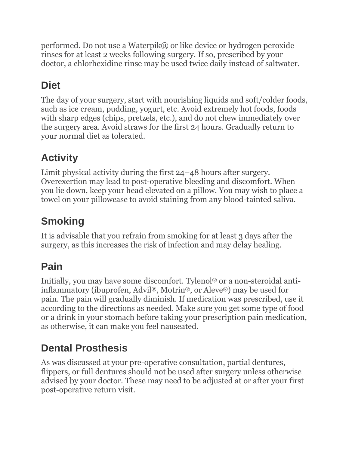performed. Do not use a Waterpik® or like device or hydrogen peroxide rinses for at least 2 weeks following surgery. If so, prescribed by your doctor, a chlorhexidine rinse may be used twice daily instead of saltwater.

## **Diet**

The day of your surgery, start with nourishing liquids and soft/colder foods, such as ice cream, pudding, yogurt, etc. Avoid extremely hot foods, foods with sharp edges (chips, pretzels, etc.), and do not chew immediately over the surgery area. Avoid straws for the first 24 hours. Gradually return to your normal diet as tolerated.

# **Activity**

Limit physical activity during the first 24–48 hours after surgery. Overexertion may lead to post-operative bleeding and discomfort. When you lie down, keep your head elevated on a pillow. You may wish to place a towel on your pillowcase to avoid staining from any blood-tainted saliva.

## **Smoking**

It is advisable that you refrain from smoking for at least 3 days after the surgery, as this increases the risk of infection and may delay healing.

## **Pain**

Initially, you may have some discomfort. Tylenol® or a non-steroidal antiinflammatory (ibuprofen, Advil®, Motrin®, or Aleve®) may be used for pain. The pain will gradually diminish. If medication was prescribed, use it according to the directions as needed. Make sure you get some type of food or a drink in your stomach before taking your prescription pain medication, as otherwise, it can make you feel nauseated.

## **Dental Prosthesis**

As was discussed at your pre-operative consultation, partial dentures, flippers, or full dentures should not be used after surgery unless otherwise advised by your doctor. These may need to be adjusted at or after your first post-operative return visit.